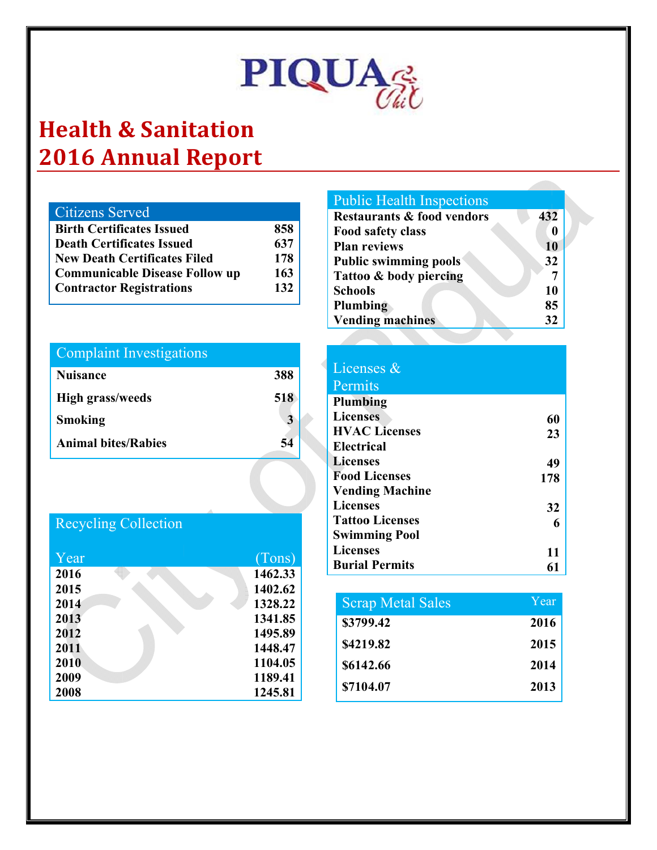

## **Health & Sanitation 2016 Annual Report**

| Citizens Served                  |     |
|----------------------------------|-----|
| <b>Birth Certificates Issued</b> | 858 |
| Death Certificates Issued        | 637 |
| New Death Certificates Filed     | 178 |
| Communicable Disease Follow up   | 163 |
| <b>Contractor Registrations</b>  | 132 |

#### Complaint Investigations

| <b>Nuisance</b>            | 388 |
|----------------------------|-----|
| <b>High grass/weeds</b>    | 518 |
| Smoking                    |     |
| <b>Animal bites/Rabies</b> | 54  |

### Recycling Collection

| Year | (Tons)  |
|------|---------|
| 2016 | 1462.33 |
| 2015 | 1402.62 |
| 2014 | 1328.22 |
| 2013 | 1341.85 |
| 2012 | 1495.89 |
| 2011 | 1448.47 |
| 2010 | 1104.05 |
| 2009 | 1189.41 |
| 2008 | 1245.81 |

#### **Public Health Inspections**

| <b>Restaurants &amp; food vendors</b> | 432 |
|---------------------------------------|-----|
| Food safety class                     |     |
| <b>Plan reviews</b>                   | 10  |
| <b>Public swimming pools</b>          | 32  |
| Tattoo & body piercing                |     |
| <b>Schools</b>                        | 10  |
| Plumbing                              | 85  |
| <b>Vending machines</b>               | 32  |

| Licenses &             |     |
|------------------------|-----|
| Permits                |     |
| Plumbing               |     |
| <b>Licenses</b>        | 60  |
| <b>HVAC Licenses</b>   | 23  |
| <b>Electrical</b>      |     |
| <b>Licenses</b>        | 49  |
| <b>Food Licenses</b>   | 178 |
| <b>Vending Machine</b> |     |
| Licenses               | 32  |
| <b>Tattoo Licenses</b> |     |
| <b>Swimming Pool</b>   |     |
| <b>Licenses</b>        | 11  |
| <b>Burial Permits</b>  |     |

| <b>Scrap Metal Sales</b> | Year |
|--------------------------|------|
| \$3799.42                | 2016 |
| \$4219.82                | 2015 |
| \$6142.66                | 2014 |
| \$7104.07                | 2013 |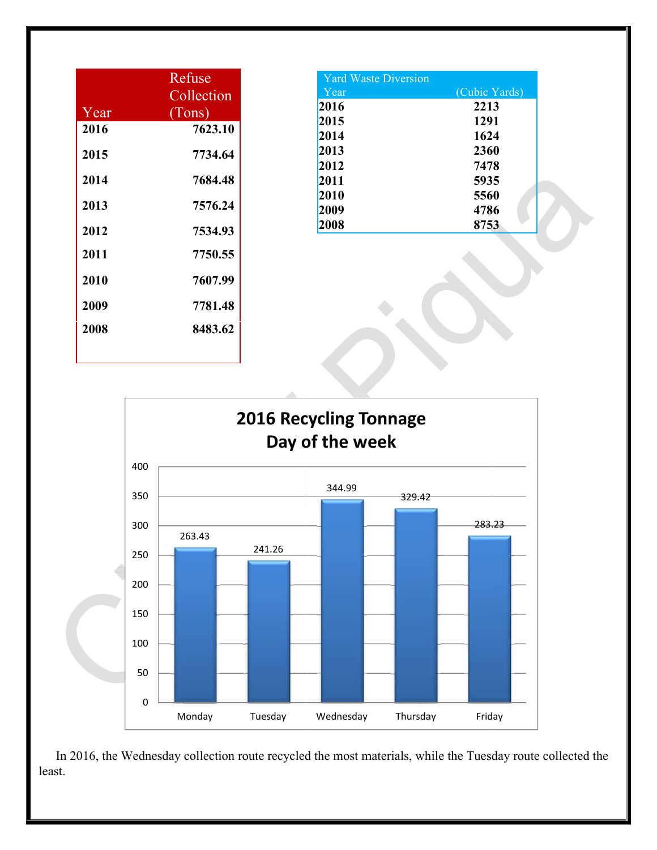|      | Refuse     |
|------|------------|
|      | Collection |
| Year | (Tons)     |
| 2016 | 7623.10    |
| 2015 | 7734.64    |
| 2014 | 7684.48    |
| 2013 | 7576.24    |
| 2012 | 7534.93    |
| 2011 | 7750.55    |
| 2010 | 7607.99    |
| 2009 | 7781.48    |
| 2008 | 8483.62    |
|      |            |

| <b>Yard Waste Diversion</b> |               |
|-----------------------------|---------------|
| Year                        | (Cubic Yards) |
| 2016                        | 2213          |
| 2015                        | 1291          |
| 2014                        | 1624          |
| 2013                        | 2360          |
| 2012                        | 7478          |
| 2011                        | 5935          |
| 2010                        | 5560          |
| 2009                        | 4786          |
| 2008                        | 8753          |



In 2016, the Wednesday collection route recycled the most materials, while the Tuesday route collected the least.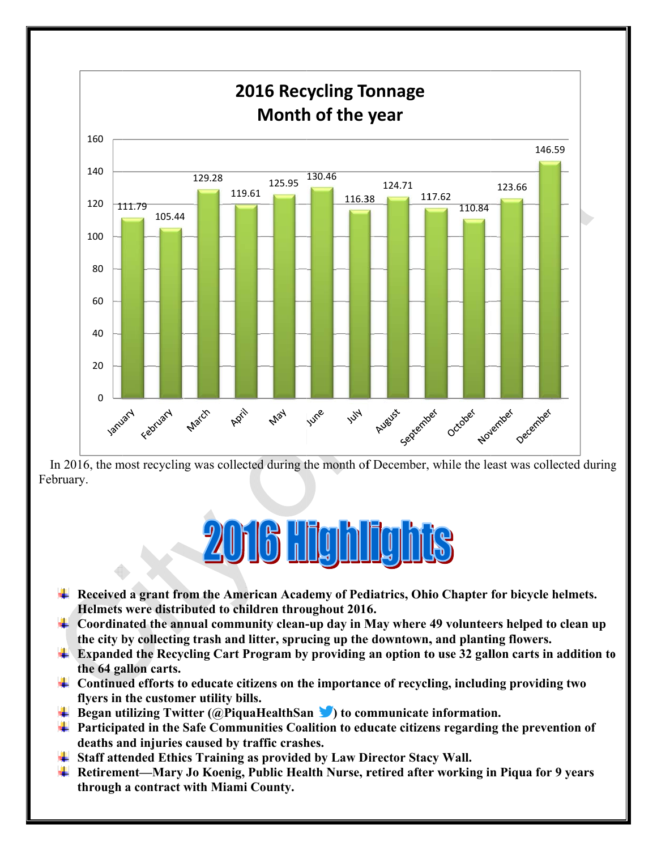

In 2016, the most recycling was collected during the month of December, while the least was collected during February.

# **2016 Highlights**

- + Received a grant from the American Academy of Pediatrics, Ohio Chapter for bicycle helmets. Helmets were distributed to children throughout 2016.
- $\ddot{\phantom{2}}$  Coordinated the annual community clean-up day in May where 49 volunteers helped to clean up the city by collecting trash and litter, sprucing up the downtown, and planting flowers.
- $\ddot{\phantom{2}}$  Expanded the Recycling Cart Program by providing an option to use 32 gallon carts in addition to the 64 gallon carts.
- $\perp$  Continued efforts to educate citizens on the importance of recycling, including providing two flyers in the customer utility bills.
- $\perp$  Began utilizing Twitter (@PiquaHealthSan  $\triangleright$ ) to communicate information.
- $\ddag$  Participated in the Safe Communities Coalition to educate citizens regarding the prevention of deaths and injuries caused by traffic crashes.
- $\overline{\phantom{a}}$  Staff attended Ethics Training as provided by Law Director Stacy Wall.
- ↓ Retirement—Mary Jo Koenig, Public Health Nurse, retired after working in Piqua for 9 years through a contract with Miami County.